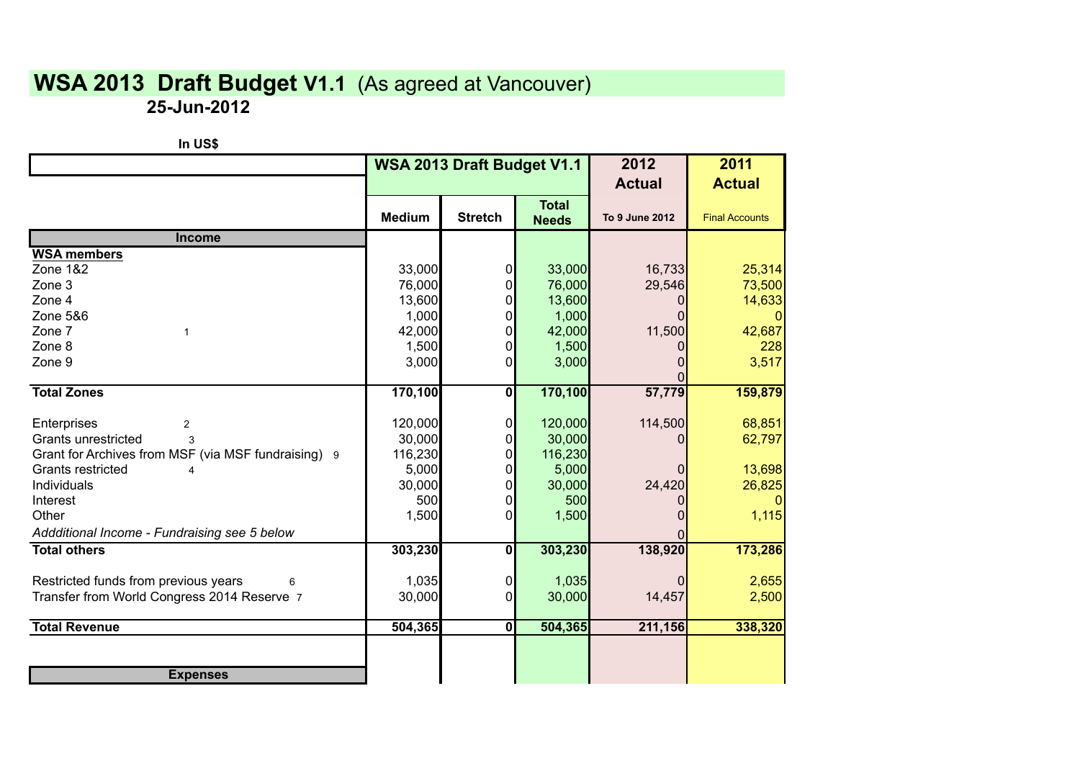## **WSA 2013 Draft Budget V1.1** (As agreed at Vancouver)

**25-Jun-2012**

| In US\$                                             |                            |                         |              |                |                       |
|-----------------------------------------------------|----------------------------|-------------------------|--------------|----------------|-----------------------|
|                                                     | WSA 2013 Draft Budget V1.1 |                         |              | 2012           | 2011                  |
|                                                     |                            |                         |              | <b>Actual</b>  | <b>Actual</b>         |
|                                                     |                            |                         | <b>Total</b> |                |                       |
|                                                     | <b>Medium</b>              | <b>Stretch</b>          | <b>Needs</b> | To 9 June 2012 | <b>Final Accounts</b> |
| <b>Income</b>                                       |                            |                         |              |                |                       |
| <b>WSA members</b>                                  |                            |                         |              |                |                       |
| Zone 1&2                                            | 33,000                     | $\mathbf 0$             | 33,000       | 16,733         | 25,314                |
| Zone 3                                              | 76,000                     | $\Omega$                | 76,000       | 29,546         | 73,500                |
| Zone 4                                              | 13,600                     | $\Omega$                | 13,600       | $\Omega$       | 14,633                |
| Zone 5&6                                            | 1,000                      | 0                       | 1,000        | $\Omega$       |                       |
| Zone 7<br>$\mathbf{1}$                              | 42,000                     | $\Omega$                | 42,000       | 11,500         | 42,687                |
| Zone 8                                              | 1,500                      | $\Omega$                | 1,500        |                | 228                   |
| Zone 9                                              | 3,000                      | $\Omega$                | 3,000        | 0              | 3,517                 |
| <b>Total Zones</b>                                  |                            | $\mathbf{0}$            |              | $\Omega$       |                       |
|                                                     | 170,100                    |                         | 170,100      | 57,779         | 159,879               |
| Enterprises<br>2                                    | 120,000                    | $\mathbf 0$             | 120,000      | 114,500        | 68,851                |
| Grants unrestricted<br>3                            | 30,000                     | $\Omega$                | 30,000       | 0              | 62,797                |
| Grant for Archives from MSF (via MSF fundraising) 9 | 116,230                    | $\Omega$                | 116,230      |                |                       |
| Grants restricted<br>4                              | 5,000                      | $\Omega$                | 5,000        | 0              | 13,698                |
| Individuals                                         | 30,000                     | $\Omega$                | 30,000       | 24,420         | 26,825                |
| Interest                                            | 500                        | $\Omega$                | 500          | 0              |                       |
| Other                                               | 1,500                      | $\Omega$                | 1,500        | $\Omega$       | 1,115                 |
| Addditional Income - Fundraising see 5 below        |                            |                         |              |                |                       |
| <b>Total others</b>                                 | 303,230                    | $\overline{\mathbf{0}}$ | 303,230      | 138,920        | 173,286               |
|                                                     |                            |                         |              |                |                       |
| Restricted funds from previous years<br>6           | 1,035                      | $\overline{0}$          | 1,035        | 0              | 2,655                 |
| Transfer from World Congress 2014 Reserve 7         | 30,000                     | $\Omega$                | 30,000       | 14,457         | 2,500                 |
| <b>Total Revenue</b>                                | 504,365                    | $\mathbf{0}$            | 504,365      | 211,156        | 338,320               |
|                                                     |                            |                         |              |                |                       |
| <b>Expenses</b>                                     |                            |                         |              |                |                       |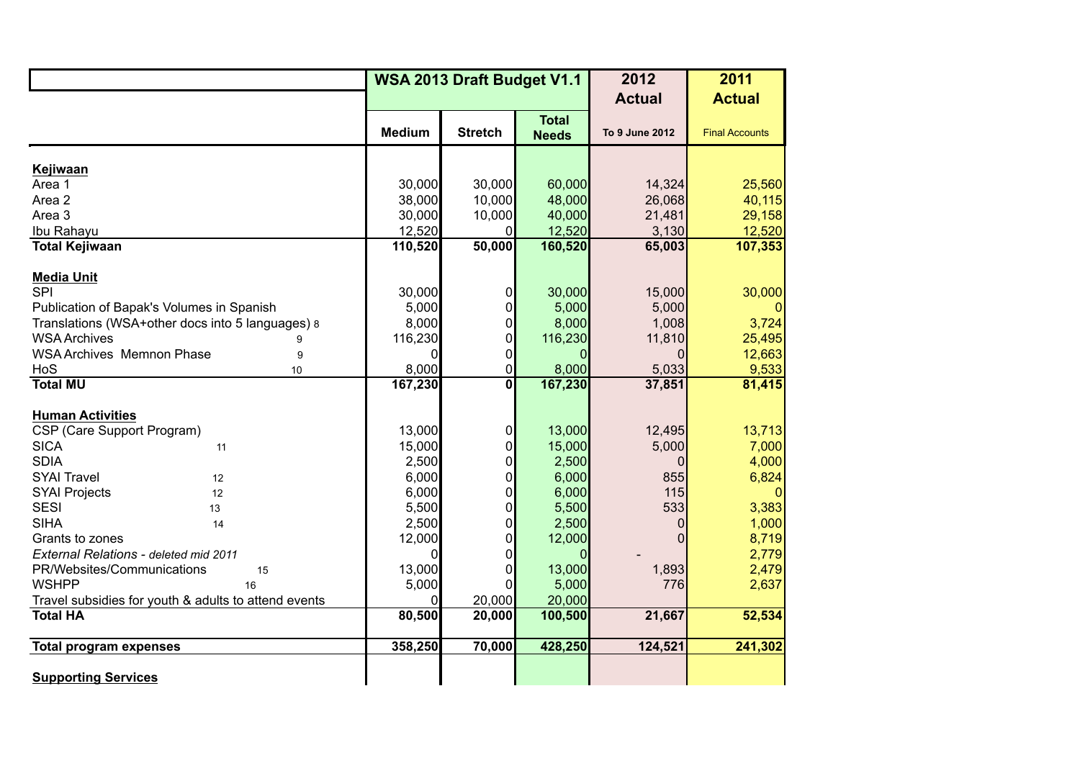|                                                      | WSA 2013 Draft Budget V1.1 |                |                              | 2012           | 2011                  |
|------------------------------------------------------|----------------------------|----------------|------------------------------|----------------|-----------------------|
|                                                      |                            |                |                              | <b>Actual</b>  | <b>Actual</b>         |
|                                                      | <b>Medium</b>              | <b>Stretch</b> | <b>Total</b><br><b>Needs</b> | To 9 June 2012 | <b>Final Accounts</b> |
| Kejiwaan                                             |                            |                |                              |                |                       |
| Area 1                                               | 30,000                     | 30,000         | 60,000                       | 14,324         | 25,560                |
| Area 2                                               | 38,000                     | 10,000         | 48,000                       | 26,068         | 40,115                |
| Area 3                                               | 30,000                     | 10,000         | 40,000                       | 21,481         | 29,158                |
| Ibu Rahayu                                           | 12,520                     | 01             | 12,520                       | 3,130          | 12,520                |
| <b>Total Kejiwaan</b>                                | 110,520                    | 50,000         | 160,520                      | 65,003         | 107,353               |
|                                                      |                            |                |                              |                |                       |
| <b>Media Unit</b><br><b>SPI</b>                      | 30,000                     |                | 30,000                       | 15,000         | 30,000                |
| Publication of Bapak's Volumes in Spanish            | 5,000                      |                | 5,000                        | 5,000          | 0                     |
| Translations (WSA+other docs into 5 languages) 8     | 8,000                      | 01             | 8,000                        | 1,008          | 3,724                 |
| <b>WSA Archives</b>                                  | 116,230                    | 0              | 116,230                      | 11,810         | 25,495                |
| <b>WSA Archives Memnon Phase</b><br>9                | $\Omega$                   | 0              |                              |                | 12,663                |
| HoS<br>10                                            | 8,000                      | $\overline{0}$ | 8,000                        | 5,033          | 9,533                 |
| <b>Total MU</b>                                      | 167,230                    | 0              | 167,230                      | 37,851         | 81,415                |
| <b>Human Activities</b>                              |                            |                |                              |                |                       |
| CSP (Care Support Program)                           | 13,000                     | 0              | 13,000                       | 12,495         | 13,713                |
| <b>SICA</b><br>11                                    | 15,000                     | 01             | 15,000                       | 5,000          | 7,000                 |
| <b>SDIA</b>                                          | 2,500                      | 0              | 2,500                        | 0              | 4,000                 |
| <b>SYAI Travel</b><br>12                             | 6,000                      | 0              | 6,000                        | 855            | 6,824                 |
| <b>SYAI Projects</b><br>12                           | 6,000                      | 0              | 6,000                        | 115            | $\mathbf 0$           |
| <b>SESI</b><br>13                                    | 5,500                      | 0              | 5,500                        | 533            | 3,383                 |
| <b>SIHA</b><br>14                                    | 2,500                      | 0              | 2,500                        | $\Omega$       | 1,000                 |
| Grants to zones                                      | 12,000                     | 0              | 12,000                       | $\Omega$       | 8,719                 |
| External Relations - deleted mid 2011                | $\Omega$                   | 0              |                              |                | 2,779                 |
| PR/Websites/Communications<br>15                     | 13,000                     | 0              | 13,000                       | 1,893          | 2,479                 |
| <b>WSHPP</b><br>16                                   | 5,000                      | 0              | 5,000                        | 776            | 2,637                 |
| Travel subsidies for youth & adults to attend events | $\overline{0}$             | 20,000         | 20,000                       |                |                       |
| <b>Total HA</b>                                      | 80,500                     | 20,000         | 100,500                      | 21,667         | 52,534                |
| <b>Total program expenses</b>                        | 358,250                    | 70,000         | 428,250                      | 124,521        | 241,302               |
|                                                      |                            |                |                              |                |                       |
| <b>Supporting Services</b>                           |                            |                |                              |                |                       |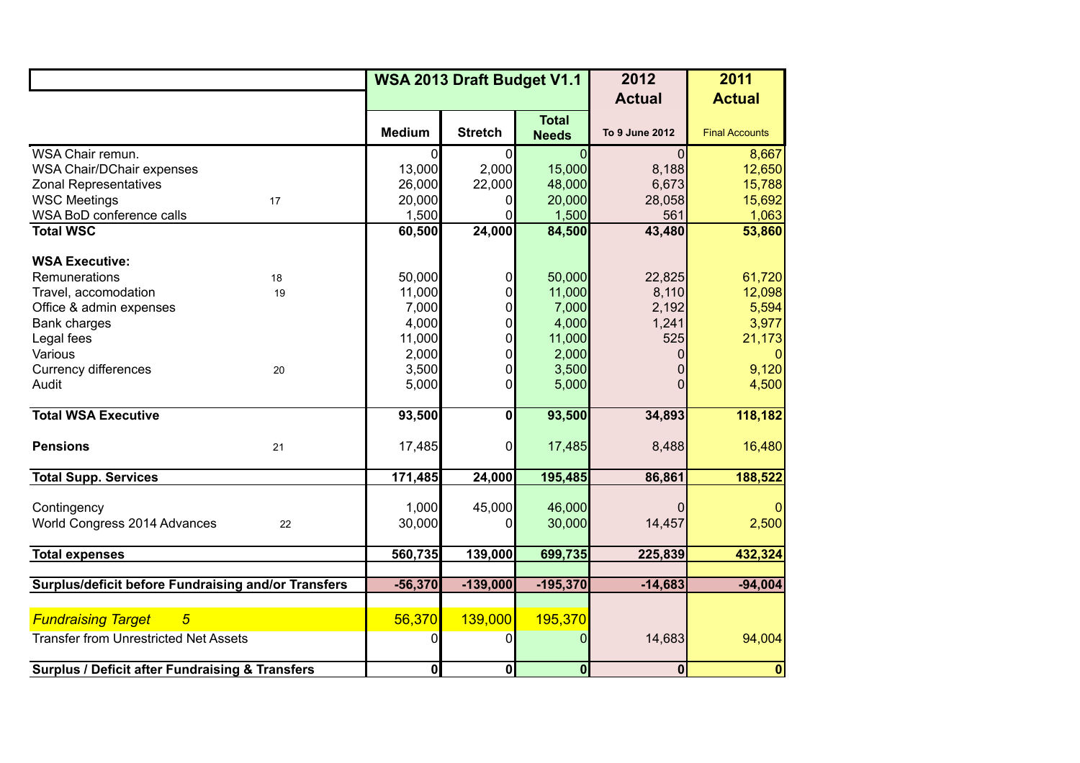|                                                            |                         | WSA 2013 Draft Budget V1.1 |                              | 2012                    | 2011                  |
|------------------------------------------------------------|-------------------------|----------------------------|------------------------------|-------------------------|-----------------------|
|                                                            |                         |                            |                              | <b>Actual</b>           | <b>Actual</b>         |
|                                                            | <b>Medium</b>           | <b>Stretch</b>             | <b>Total</b><br><b>Needs</b> | To 9 June 2012          | <b>Final Accounts</b> |
| WSA Chair remun.                                           | $\Omega$                | $\Omega$                   | $\overline{0}$               | $\Omega$                | 8,667                 |
| WSA Chair/DChair expenses                                  | 13,000                  | 2,000                      | 15,000                       | 8,188                   | 12,650                |
| <b>Zonal Representatives</b>                               | 26,000                  | 22,000                     | 48,000                       | 6,673                   | 15,788                |
| <b>WSC Meetings</b><br>17                                  | 20,000                  |                            | 20,000                       | 28,058                  | 15,692                |
| WSA BoD conference calls                                   | 1,500                   |                            | 1,500                        | 561                     | 1,063                 |
| <b>Total WSC</b>                                           | 60,500                  | 24,000                     | 84,500                       | 43,480                  | 53,860                |
| <b>WSA Executive:</b>                                      |                         |                            |                              |                         |                       |
| Remunerations<br>18                                        | 50,000                  |                            | 50,000                       | 22,825                  | 61,720                |
| Travel, accomodation<br>19                                 | 11,000                  |                            | 11,000                       | 8,110                   | 12,098                |
| Office & admin expenses                                    | 7,000                   |                            | 7,000                        | 2,192                   | 5,594                 |
| Bank charges                                               | 4,000                   |                            | 4,000                        | 1,241                   | 3,977                 |
| Legal fees                                                 | 11,000                  |                            | 11,000                       | 525                     | 21,173                |
| Various                                                    | 2,000                   |                            | 2,000                        | 0                       | 0                     |
| <b>Currency differences</b><br>20                          | 3,500                   | 0                          | 3,500                        | 0                       | 9,120                 |
| Audit                                                      | 5,000                   | $\Omega$                   | 5,000                        | 0                       | 4,500                 |
| <b>Total WSA Executive</b>                                 | 93,500                  | $\mathbf 0$                | 93,500                       | 34,893                  | 118,182               |
| <b>Pensions</b><br>21                                      | 17,485                  | $\Omega$                   | 17,485                       | 8,488                   | 16,480                |
| <b>Total Supp. Services</b>                                | 171,485                 | 24,000                     | 195,485                      | 86,861                  | 188,522               |
|                                                            |                         |                            |                              |                         |                       |
| Contingency                                                | 1,000                   | 45,000                     | 46,000                       |                         | $\Omega$              |
| World Congress 2014 Advances<br>22                         | 30,000                  | 0                          | 30,000                       | 14,457                  | 2,500                 |
|                                                            |                         |                            |                              |                         |                       |
| <b>Total expenses</b>                                      | 560,735                 | 139,000                    | 699,735                      | 225,839                 | 432,324               |
| Surplus/deficit before Fundraising and/or Transfers        | $-56,370$               | $-139,000$                 | $-195,370$                   | $-14,683$               | $-94,004$             |
|                                                            |                         |                            |                              |                         |                       |
| <b>Fundraising Target</b><br>$\overline{5}$                | 56,370                  | 139,000                    | 195,370                      |                         |                       |
| <b>Transfer from Unrestricted Net Assets</b>               | 0                       | 0                          | 0                            | 14,683                  | 94,004                |
| <b>Surplus / Deficit after Fundraising &amp; Transfers</b> | $\overline{\mathbf{0}}$ | $\overline{\mathbf{0}}$    | $\overline{\mathbf{0}}$      | $\overline{\mathbf{0}}$ | $\mathbf 0$           |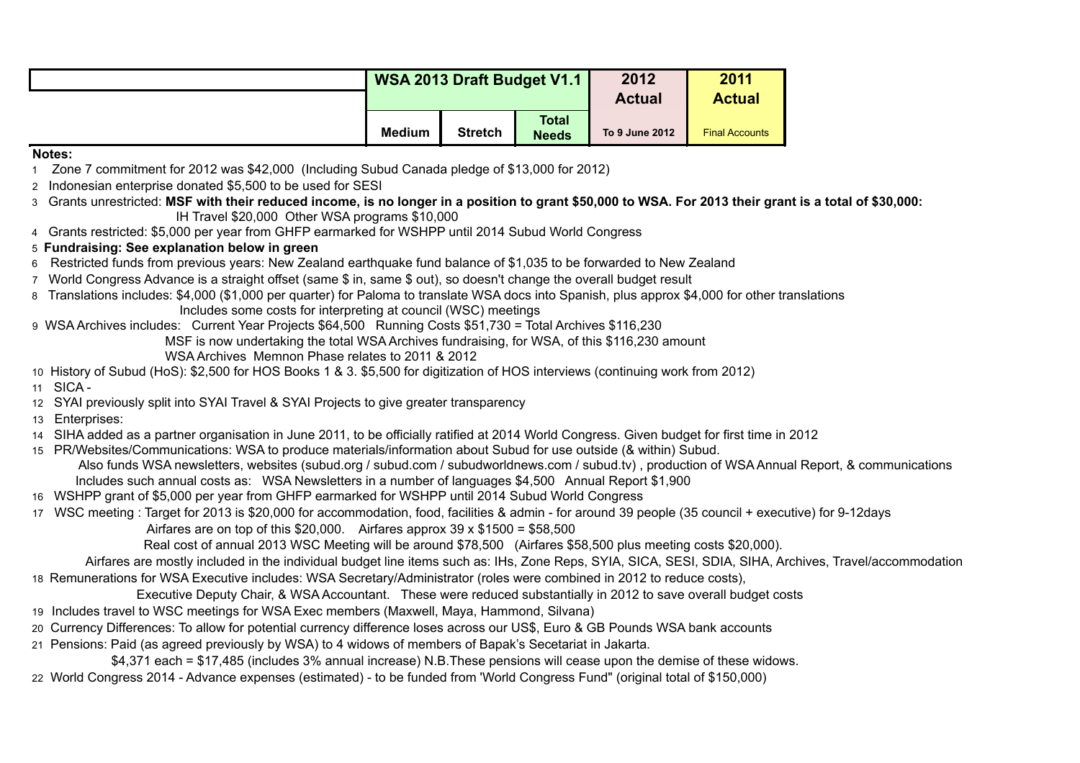| WSA 2013 Draft Budget V1.1 |                |                              | 2012           | 2011                  |
|----------------------------|----------------|------------------------------|----------------|-----------------------|
|                            |                |                              | <b>Actual</b>  | <b>Actual</b>         |
| <b>Medium</b>              | <b>Stretch</b> | <b>Total</b><br><b>Needs</b> | To 9 June 2012 | <b>Final Accounts</b> |

## **Notes:**

- 1 Zone 7 commitment for 2012 was \$42,000 (Including Subud Canada pledge of \$13,000 for 2012)
- 2 Indonesian enterprise donated \$5,500 to be used for SESI
- 3 Grants unrestricted: **MSF with their reduced income, is no longer in a position to grant \$50,000 to WSA. For 2013 their grant is a total of \$30,000:** IH Travel \$20,000 Other WSA programs \$10,000
- 4 Grants restricted: \$5,000 per year from GHFP earmarked for WSHPP until 2014 Subud World Congress
- 5 **Fundraising: See explanation below in green**
- 6 Restricted funds from previous years: New Zealand earthquake fund balance of \$1,035 to be forwarded to New Zealand
- 7 World Congress Advance is a straight offset (same \$ in, same \$ out), so doesn't change the overall budget result
- 8 Translations includes: \$4,000 (\$1,000 per quarter) for Paloma to translate WSA docs into Spanish, plus approx \$4,000 for other translations Includes some costs for interpreting at council (WSC) meetings
- 9 WSA Archives includes: Current Year Projects \$64,500 Running Costs \$51,730 = Total Archives \$116,230 MSF is now undertaking the total WSA Archives fundraising, for WSA, of this \$116,230 amount WSA Archives Memnon Phase relates to 2011 & 2012
- 10 History of Subud (HoS): \$2,500 for HOS Books 1 & 3. \$5,500 for digitization of HOS interviews (continuing work from 2012)
- 11 SICA -
- 12 SYAI previously split into SYAI Travel & SYAI Projects to give greater transparency
- 13 Enterprises:
- 14 SIHA added as a partner organisation in June 2011, to be officially ratified at 2014 World Congress. Given budget for first time in 2012
- 15 PR/Websites/Communications: WSA to produce materials/information about Subud for use outside (& within) Subud. Also funds WSA newsletters, websites (subud.org / subud.com / subudworldnews.com / subud.tv) , production of WSA Annual Report, & communications Includes such annual costs as: WSA Newsletters in a number of languages \$4,500 Annual Report \$1,900
- 16 WSHPP grant of \$5,000 per year from GHFP earmarked for WSHPP until 2014 Subud World Congress
- 17 WSC meeting : Target for 2013 is \$20,000 for accommodation, food, facilities & admin for around 39 people (35 council + executive) for 9-12days
	- Airfares are on top of this  $$20,000$ . Airfares approx 39 x  $$1500 = $58,500$

Real cost of annual 2013 WSC Meeting will be around \$78,500 (Airfares \$58,500 plus meeting costs \$20,000).

 Airfares are mostly included in the individual budget line items such as: IHs, Zone Reps, SYIA, SICA, SESI, SDIA, SIHA, Archives, Travel/accommodation 18 Remunerations for WSA Executive includes: WSA Secretary/Administrator (roles were combined in 2012 to reduce costs),

- Executive Deputy Chair, & WSA Accountant. These were reduced substantially in 2012 to save overall budget costs
- 19 Includes travel to WSC meetings for WSA Exec members (Maxwell, Maya, Hammond, Silvana)
- 20 Currency Differences: To allow for potential currency difference loses across our US\$, Euro & GB Pounds WSA bank accounts
- 21 Pensions: Paid (as agreed previously by WSA) to 4 widows of members of Bapak's Secetariat in Jakarta.

\$4,371 each = \$17,485 (includes 3% annual increase) N.B.These pensions will cease upon the demise of these widows.

22 World Congress 2014 - Advance expenses (estimated) - to be funded from 'World Congress Fund" (original total of \$150,000)